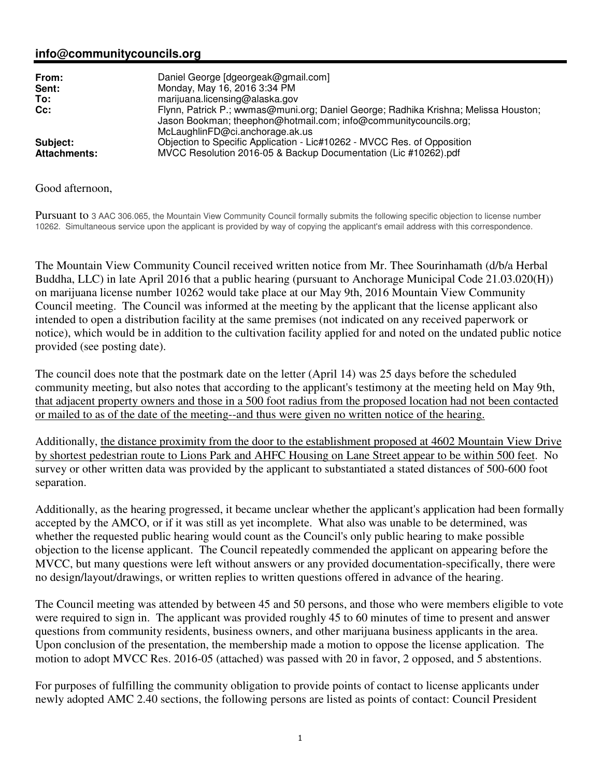## **info@communitycouncils.org**

| From:<br>Sent:<br>To:<br>Cc: | Daniel George [dgeorgeak@gmail.com]<br>Monday, May 16, 2016 3:34 PM<br>marijuana.licensing@alaska.gov<br>Flynn, Patrick P.; wwmas@muni.org; Daniel George; Radhika Krishna; Melissa Houston;<br>Jason Bookman; theephon@hotmail.com; info@communitycouncils.org;<br>McLaughlinFD@ci.anchorage.ak.us |
|------------------------------|-----------------------------------------------------------------------------------------------------------------------------------------------------------------------------------------------------------------------------------------------------------------------------------------------------|
| Subject:                     | Objection to Specific Application - Lic#10262 - MVCC Res. of Opposition                                                                                                                                                                                                                             |
| <b>Attachments:</b>          | MVCC Resolution 2016-05 & Backup Documentation (Lic #10262).pdf                                                                                                                                                                                                                                     |

## Good afternoon,

Pursuant to 3 AAC 306.065, the Mountain View Community Council formally submits the following specific objection to license number 10262. Simultaneous service upon the applicant is provided by way of copying the applicant's email address with this correspondence.

The Mountain View Community Council received written notice from Mr. Thee Sourinhamath (d/b/a Herbal Buddha, LLC) in late April 2016 that a public hearing (pursuant to Anchorage Municipal Code 21.03.020(H)) on marijuana license number 10262 would take place at our May 9th, 2016 Mountain View Community Council meeting. The Council was informed at the meeting by the applicant that the license applicant also intended to open a distribution facility at the same premises (not indicated on any received paperwork or notice), which would be in addition to the cultivation facility applied for and noted on the undated public notice provided (see posting date).

The council does note that the postmark date on the letter (April 14) was 25 days before the scheduled community meeting, but also notes that according to the applicant's testimony at the meeting held on May 9th, that adjacent property owners and those in a 500 foot radius from the proposed location had not been contacted or mailed to as of the date of the meeting--and thus were given no written notice of the hearing.

Additionally, the distance proximity from the door to the establishment proposed at 4602 Mountain View Drive by shortest pedestrian route to Lions Park and AHFC Housing on Lane Street appear to be within 500 feet. No survey or other written data was provided by the applicant to substantiated a stated distances of 500-600 foot separation.

Additionally, as the hearing progressed, it became unclear whether the applicant's application had been formally accepted by the AMCO, or if it was still as yet incomplete. What also was unable to be determined, was whether the requested public hearing would count as the Council's only public hearing to make possible objection to the license applicant. The Council repeatedly commended the applicant on appearing before the MVCC, but many questions were left without answers or any provided documentation-specifically, there were no design/layout/drawings, or written replies to written questions offered in advance of the hearing.

The Council meeting was attended by between 45 and 50 persons, and those who were members eligible to vote were required to sign in. The applicant was provided roughly 45 to 60 minutes of time to present and answer questions from community residents, business owners, and other marijuana business applicants in the area. Upon conclusion of the presentation, the membership made a motion to oppose the license application. The motion to adopt MVCC Res. 2016-05 (attached) was passed with 20 in favor, 2 opposed, and 5 abstentions.

For purposes of fulfilling the community obligation to provide points of contact to license applicants under newly adopted AMC 2.40 sections, the following persons are listed as points of contact: Council President